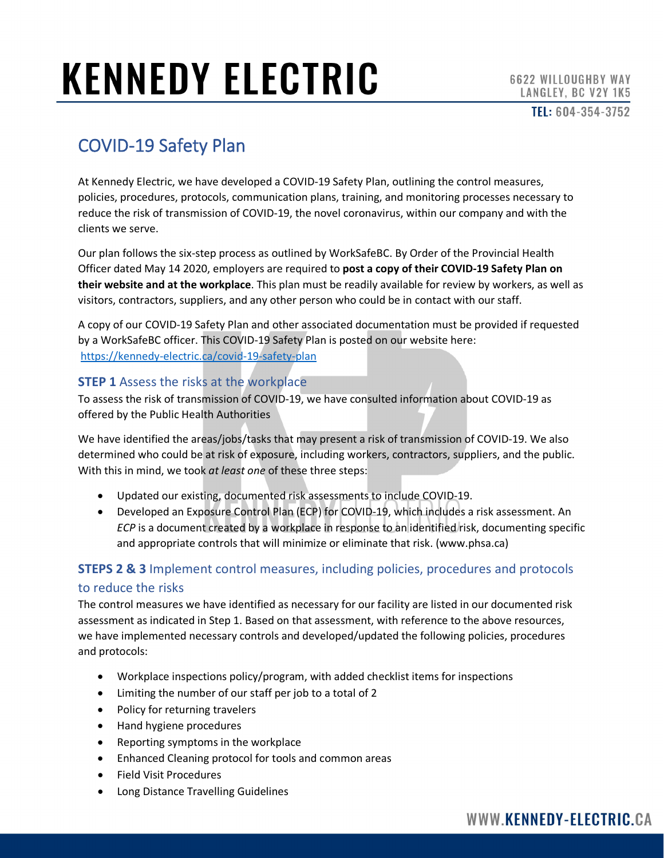# **KENNEDY ELECTRIC**

TEL: 604-354-3752

### COVID-19 Safety Plan

At Kennedy Electric, we have developed a COVID-19 Safety Plan, outlining the control measures, policies, procedures, protocols, communication plans, training, and monitoring processes necessary to reduce the risk of transmission of COVID-19, the novel coronavirus, within our company and with the clients we serve.

Our plan follows the [six-step process](https://www.worksafebc.com/en/about-us/covid-19-updates/covid-19-returning-safe-operation) as outlined by WorkSafeBC. By [Order of the Provincial Health](https://www2.gov.bc.ca/assets/gov/health/about-bc-s-health-care-system/office-of-the-provincial-health-officer/covid-19/class_order_employers_covid-19_safety_plans_covid-19_may_14_final.pdf)  [Officer](https://www2.gov.bc.ca/assets/gov/health/about-bc-s-health-care-system/office-of-the-provincial-health-officer/covid-19/class_order_employers_covid-19_safety_plans_covid-19_may_14_final.pdf) dated May 14 2020, employers are required to **post a copy of their COVID-19 Safety Plan on their website and at the workplace**. This plan must be readily available for review by workers, as well as visitors, contractors, suppliers, and any other person who could be in contact with our staff.

A copy of our COVID-19 Safety Plan and other associated documentation must be provided if requested by a WorkSafeBC officer. This COVID-19 Safety Plan is posted on our website here: <https://kennedy-electric.ca/covid-19-safety-plan>

### **STEP 1** Assess the risks at the workplace

To assess the risk of transmission of COVID-19, we have consulted [information about COVID-19](http://www.bccdc.ca/health-info/diseases-conditions/covid-19/about-covid-19/symptoms) as offered by the Public Health Authorities

We have identified the areas/jobs/tasks that may present a risk of transmission of COVID-19. We also determined who could be at risk of exposure, including workers, contractors, suppliers, and the public. With this in mind, we took *at least one* of these three steps:

- Updated our existing, documented risk assessments to include COVID-19.
- Developed an Exposure Control Plan (ECP) for COVID-19, which includes a risk assessment. An *ECP* is a document created by a workplace in response to an identified risk, documenting specific and appropriate controls that will minimize or eliminate that risk. [\(www.phsa.ca\)](http://www.phsa.ca/)

### **STEPS 2 & 3** Implement control measures, including policies, procedures and protocols to reduce the risks

The control measures we have identified as necessary for our facility are listed in our documented risk assessment as indicated in Step 1. Based on that assessment, with reference to the above resources, we have implemented necessary controls and developed/updated the following policies, procedures and protocols:

- Workplace inspections policy/program, with added checklist items for inspections
- Limiting the number of our staff per job to a total of 2
- Policy for returning travelers
- Hand hygiene procedures
- Reporting symptoms in the workplace
- Enhanced Cleaning protocol for tools and common areas
- Field Visit Procedures
- Long Distance Travelling Guidelines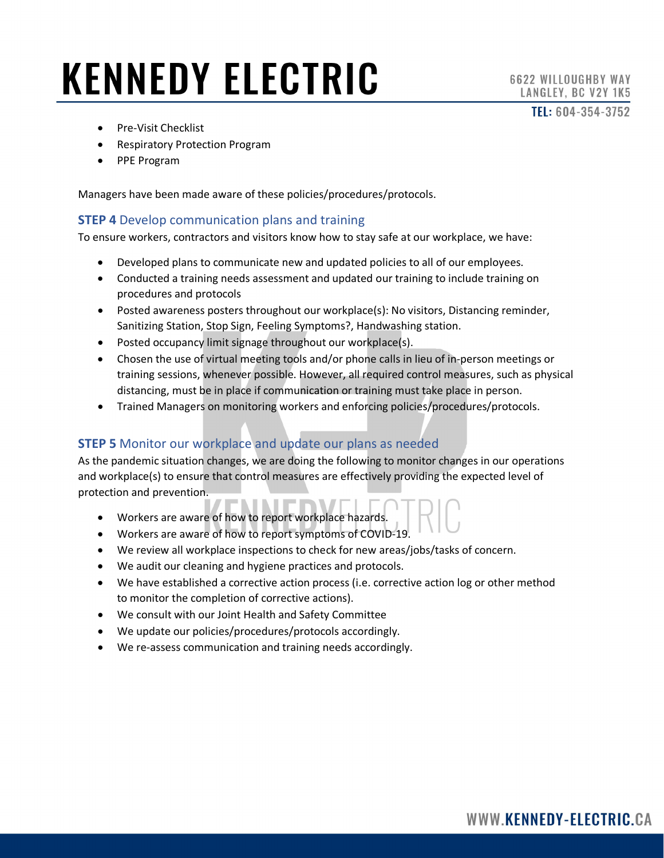### **KENNEDY ELECTRIC**

TEL: 604-354-3752

- Pre-Visit Checklist
- Respiratory Protection Program
- PPE Program

Managers have been made aware of these policies/procedures/protocols.

#### **STEP 4** Develop communication plans and training

To ensure workers, contractors and visitors know how to stay safe at our workplace, we have:

- Developed plans to communicate new and updated policies to all of our employees.
- Conducted a training needs assessment and updated our training to include training on procedures and protocols
- Posted awareness posters throughout our workplace(s): [No visitors,](https://safetyalliancebc.ca/covid-19/r/poster-no-visitors) [Distancing reminder,](https://safetyalliancebc.ca/covid-19/r/distancing-reminder) [Sanitizing Station,](https://safetyalliancebc.ca/covid-19/r/sanitizing-station) [Stop Sign,](https://safetyalliancebc.ca/covid-19/r/stop-sign) [Feeling Symptoms?,](https://safetyalliancebc.ca/covid-19/r/feeling-symptoms) [Handwashing station.](https://safetyalliancebc.ca/covid-19/r/washing-station)
- Posted occupancy limit signage throughout our workplace(s).
- Chosen the use of virtual meeting tools and/or phone calls in lieu of in-person meetings or training sessions, whenever possible. However, all required control measures, such as physical distancing, must be in place if communication or training must take place in person.
- Trained Managers on monitoring workers and enforcing policies/procedures/protocols.

#### **STEP 5** Monitor our workplace and update our plans as needed

As the pandemic situation changes, we are doing the following to monitor changes in our operations and workplace(s) to ensure that control measures are effectively providing the expected level of protection and prevention.

- Workers are aware of how to report workplace hazards.
- Workers are aware of [how to report symptoms of COVID-19.](https://safetyalliancebc.ca/covid-19/r/reporting-symptoms-in-the-workplace)
- We review all workplace inspections to check for new areas/jobs/tasks of concern.
- We audit our cleaning and hygiene practices and protocols.
- We have established a corrective action process (i.e. corrective action log or other method to monitor the completion of corrective actions).
- We consult with our Joint Health and Safety Committee
- We update our policies/procedures/protocols accordingly.
- We re-assess communication and training needs accordingly.